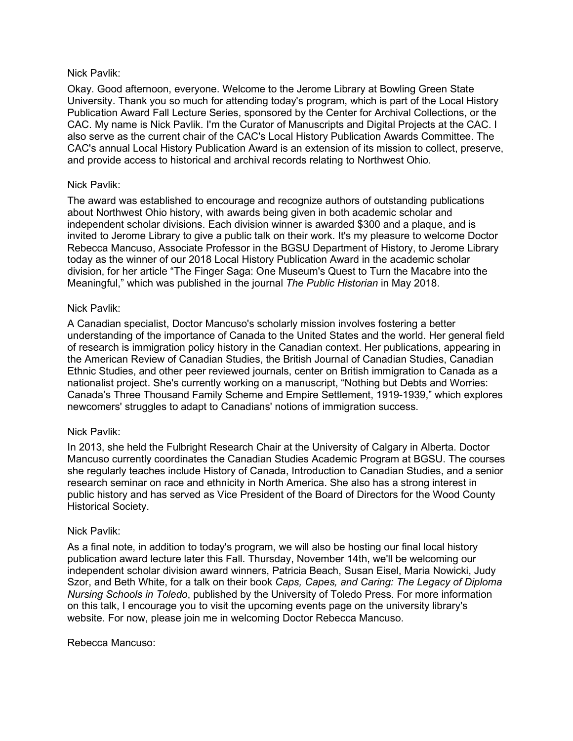### Nick Pavlik:

Okay. Good afternoon, everyone. Welcome to the Jerome Library at Bowling Green State University. Thank you so much for attending today's program, which is part of the Local History Publication Award Fall Lecture Series, sponsored by the Center for Archival Collections, or the CAC. My name is Nick Pavlik. I'm the Curator of Manuscripts and Digital Projects at the CAC. I also serve as the current chair of the CAC's Local History Publication Awards Committee. The CAC's annual Local History Publication Award is an extension of its mission to collect, preserve, and provide access to historical and archival records relating to Northwest Ohio.

## Nick Pavlik:

The award was established to encourage and recognize authors of outstanding publications about Northwest Ohio history, with awards being given in both academic scholar and independent scholar divisions. Each division winner is awarded \$300 and a plaque, and is invited to Jerome Library to give a public talk on their work. It's my pleasure to welcome Doctor Rebecca Mancuso, Associate Professor in the BGSU Department of History, to Jerome Library today as the winner of our 2018 Local History Publication Award in the academic scholar division, for her article "The Finger Saga: One Museum's Quest to Turn the Macabre into the Meaningful," which was published in the journal *The Public Historian* in May 2018.

### Nick Pavlik:

A Canadian specialist, Doctor Mancuso's scholarly mission involves fostering a better understanding of the importance of Canada to the United States and the world. Her general field of research is immigration policy history in the Canadian context. Her publications, appearing in the American Review of Canadian Studies, the British Journal of Canadian Studies, Canadian Ethnic Studies, and other peer reviewed journals, center on British immigration to Canada as a nationalist project. She's currently working on a manuscript, "Nothing but Debts and Worries: Canada's Three Thousand Family Scheme and Empire Settlement, 1919-1939," which explores newcomers' struggles to adapt to Canadians' notions of immigration success.

### Nick Pavlik:

In 2013, she held the Fulbright Research Chair at the University of Calgary in Alberta. Doctor Mancuso currently coordinates the Canadian Studies Academic Program at BGSU. The courses she regularly teaches include History of Canada, Introduction to Canadian Studies, and a senior research seminar on race and ethnicity in North America. She also has a strong interest in public history and has served as Vice President of the Board of Directors for the Wood County Historical Society.

### Nick Pavlik:

As a final note, in addition to today's program, we will also be hosting our final local history publication award lecture later this Fall. Thursday, November 14th, we'll be welcoming our independent scholar division award winners, Patricia Beach, Susan Eisel, Maria Nowicki, Judy Szor, and Beth White, for a talk on their book *Caps, Capes, and Caring: The Legacy of Diploma Nursing Schools in Toledo*, published by the University of Toledo Press. For more information on this talk, I encourage you to visit the upcoming events page on the university library's website. For now, please join me in welcoming Doctor Rebecca Mancuso.

### Rebecca Mancuso: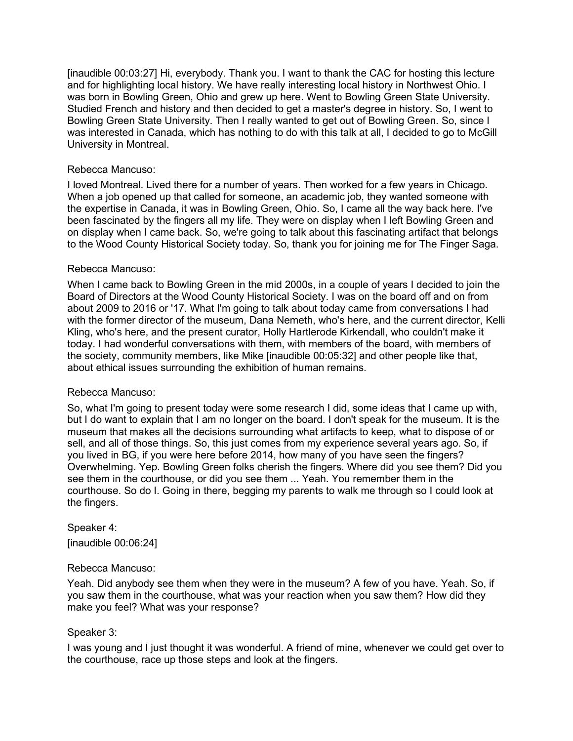[inaudible 00:03:27] Hi, everybody. Thank you. I want to thank the CAC for hosting this lecture and for highlighting local history. We have really interesting local history in Northwest Ohio. I was born in Bowling Green, Ohio and grew up here. Went to Bowling Green State University. Studied French and history and then decided to get a master's degree in history. So, I went to Bowling Green State University. Then I really wanted to get out of Bowling Green. So, since I was interested in Canada, which has nothing to do with this talk at all, I decided to go to McGill University in Montreal.

### Rebecca Mancuso:

I loved Montreal. Lived there for a number of years. Then worked for a few years in Chicago. When a job opened up that called for someone, an academic job, they wanted someone with the expertise in Canada, it was in Bowling Green, Ohio. So, I came all the way back here. I've been fascinated by the fingers all my life. They were on display when I left Bowling Green and on display when I came back. So, we're going to talk about this fascinating artifact that belongs to the Wood County Historical Society today. So, thank you for joining me for The Finger Saga.

## Rebecca Mancuso:

When I came back to Bowling Green in the mid 2000s, in a couple of years I decided to join the Board of Directors at the Wood County Historical Society. I was on the board off and on from about 2009 to 2016 or '17. What I'm going to talk about today came from conversations I had with the former director of the museum, Dana Nemeth, who's here, and the current director, Kelli Kling, who's here, and the present curator, Holly Hartlerode Kirkendall, who couldn't make it today. I had wonderful conversations with them, with members of the board, with members of the society, community members, like Mike [inaudible 00:05:32] and other people like that, about ethical issues surrounding the exhibition of human remains.

### Rebecca Mancuso:

So, what I'm going to present today were some research I did, some ideas that I came up with, but I do want to explain that I am no longer on the board. I don't speak for the museum. It is the museum that makes all the decisions surrounding what artifacts to keep, what to dispose of or sell, and all of those things. So, this just comes from my experience several years ago. So, if you lived in BG, if you were here before 2014, how many of you have seen the fingers? Overwhelming. Yep. Bowling Green folks cherish the fingers. Where did you see them? Did you see them in the courthouse, or did you see them ... Yeah. You remember them in the courthouse. So do I. Going in there, begging my parents to walk me through so I could look at the fingers.

# Speaker 4: [inaudible 00:06:24]

### Rebecca Mancuso:

Yeah. Did anybody see them when they were in the museum? A few of you have. Yeah. So, if you saw them in the courthouse, what was your reaction when you saw them? How did they make you feel? What was your response?

### Speaker 3:

I was young and I just thought it was wonderful. A friend of mine, whenever we could get over to the courthouse, race up those steps and look at the fingers.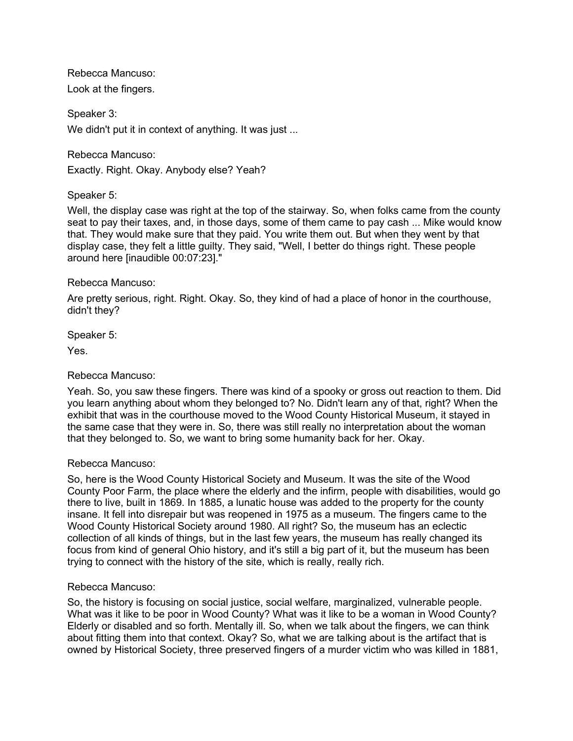Rebecca Mancuso: Look at the fingers.

Speaker 3: We didn't put it in context of anything. It was just ...

Rebecca Mancuso:

Exactly. Right. Okay. Anybody else? Yeah?

Speaker 5:

Well, the display case was right at the top of the stairway. So, when folks came from the county seat to pay their taxes, and, in those days, some of them came to pay cash ... Mike would know that. They would make sure that they paid. You write them out. But when they went by that display case, they felt a little guilty. They said, "Well, I better do things right. These people around here [inaudible 00:07:23]."

## Rebecca Mancuso:

Are pretty serious, right. Right. Okay. So, they kind of had a place of honor in the courthouse, didn't they?

Speaker 5:

Yes.

### Rebecca Mancuso:

Yeah. So, you saw these fingers. There was kind of a spooky or gross out reaction to them. Did you learn anything about whom they belonged to? No. Didn't learn any of that, right? When the exhibit that was in the courthouse moved to the Wood County Historical Museum, it stayed in the same case that they were in. So, there was still really no interpretation about the woman that they belonged to. So, we want to bring some humanity back for her. Okay.

### Rebecca Mancuso:

So, here is the Wood County Historical Society and Museum. It was the site of the Wood County Poor Farm, the place where the elderly and the infirm, people with disabilities, would go there to live, built in 1869. In 1885, a lunatic house was added to the property for the county insane. It fell into disrepair but was reopened in 1975 as a museum. The fingers came to the Wood County Historical Society around 1980. All right? So, the museum has an eclectic collection of all kinds of things, but in the last few years, the museum has really changed its focus from kind of general Ohio history, and it's still a big part of it, but the museum has been trying to connect with the history of the site, which is really, really rich.

### Rebecca Mancuso:

So, the history is focusing on social justice, social welfare, marginalized, vulnerable people. What was it like to be poor in Wood County? What was it like to be a woman in Wood County? Elderly or disabled and so forth. Mentally ill. So, when we talk about the fingers, we can think about fitting them into that context. Okay? So, what we are talking about is the artifact that is owned by Historical Society, three preserved fingers of a murder victim who was killed in 1881,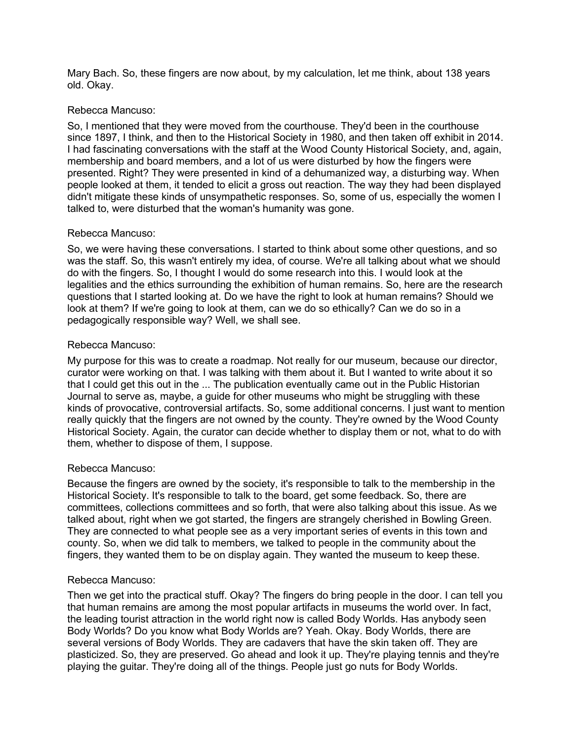Mary Bach. So, these fingers are now about, by my calculation, let me think, about 138 years old. Okay.

## Rebecca Mancuso:

So, I mentioned that they were moved from the courthouse. They'd been in the courthouse since 1897, I think, and then to the Historical Society in 1980, and then taken off exhibit in 2014. I had fascinating conversations with the staff at the Wood County Historical Society, and, again, membership and board members, and a lot of us were disturbed by how the fingers were presented. Right? They were presented in kind of a dehumanized way, a disturbing way. When people looked at them, it tended to elicit a gross out reaction. The way they had been displayed didn't mitigate these kinds of unsympathetic responses. So, some of us, especially the women I talked to, were disturbed that the woman's humanity was gone.

## Rebecca Mancuso:

So, we were having these conversations. I started to think about some other questions, and so was the staff. So, this wasn't entirely my idea, of course. We're all talking about what we should do with the fingers. So, I thought I would do some research into this. I would look at the legalities and the ethics surrounding the exhibition of human remains. So, here are the research questions that I started looking at. Do we have the right to look at human remains? Should we look at them? If we're going to look at them, can we do so ethically? Can we do so in a pedagogically responsible way? Well, we shall see.

## Rebecca Mancuso:

My purpose for this was to create a roadmap. Not really for our museum, because our director, curator were working on that. I was talking with them about it. But I wanted to write about it so that I could get this out in the ... The publication eventually came out in the Public Historian Journal to serve as, maybe, a guide for other museums who might be struggling with these kinds of provocative, controversial artifacts. So, some additional concerns. I just want to mention really quickly that the fingers are not owned by the county. They're owned by the Wood County Historical Society. Again, the curator can decide whether to display them or not, what to do with them, whether to dispose of them, I suppose.

# Rebecca Mancuso:

Because the fingers are owned by the society, it's responsible to talk to the membership in the Historical Society. It's responsible to talk to the board, get some feedback. So, there are committees, collections committees and so forth, that were also talking about this issue. As we talked about, right when we got started, the fingers are strangely cherished in Bowling Green. They are connected to what people see as a very important series of events in this town and county. So, when we did talk to members, we talked to people in the community about the fingers, they wanted them to be on display again. They wanted the museum to keep these.

### Rebecca Mancuso:

Then we get into the practical stuff. Okay? The fingers do bring people in the door. I can tell you that human remains are among the most popular artifacts in museums the world over. In fact, the leading tourist attraction in the world right now is called Body Worlds. Has anybody seen Body Worlds? Do you know what Body Worlds are? Yeah. Okay. Body Worlds, there are several versions of Body Worlds. They are cadavers that have the skin taken off. They are plasticized. So, they are preserved. Go ahead and look it up. They're playing tennis and they're playing the guitar. They're doing all of the things. People just go nuts for Body Worlds.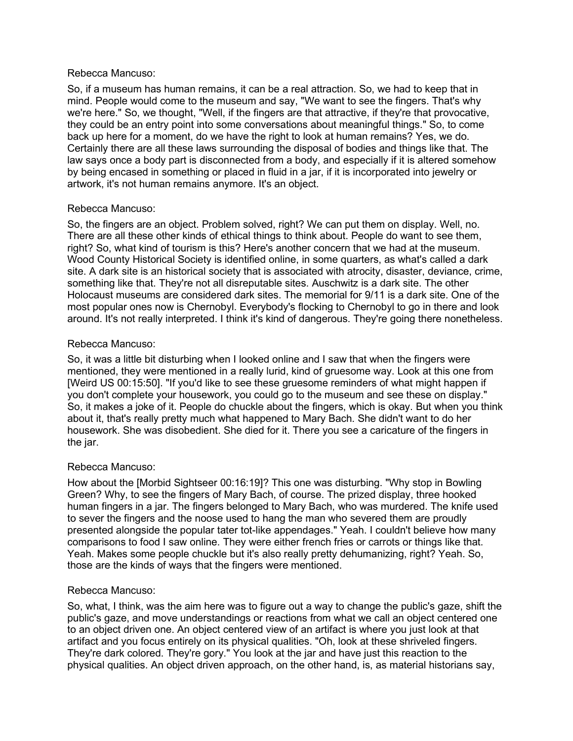#### Rebecca Mancuso:

So, if a museum has human remains, it can be a real attraction. So, we had to keep that in mind. People would come to the museum and say, "We want to see the fingers. That's why we're here." So, we thought, "Well, if the fingers are that attractive, if they're that provocative, they could be an entry point into some conversations about meaningful things." So, to come back up here for a moment, do we have the right to look at human remains? Yes, we do. Certainly there are all these laws surrounding the disposal of bodies and things like that. The law says once a body part is disconnected from a body, and especially if it is altered somehow by being encased in something or placed in fluid in a jar, if it is incorporated into jewelry or artwork, it's not human remains anymore. It's an object.

### Rebecca Mancuso:

So, the fingers are an object. Problem solved, right? We can put them on display. Well, no. There are all these other kinds of ethical things to think about. People do want to see them, right? So, what kind of tourism is this? Here's another concern that we had at the museum. Wood County Historical Society is identified online, in some quarters, as what's called a dark site. A dark site is an historical society that is associated with atrocity, disaster, deviance, crime, something like that. They're not all disreputable sites. Auschwitz is a dark site. The other Holocaust museums are considered dark sites. The memorial for 9/11 is a dark site. One of the most popular ones now is Chernobyl. Everybody's flocking to Chernobyl to go in there and look around. It's not really interpreted. I think it's kind of dangerous. They're going there nonetheless.

## Rebecca Mancuso:

So, it was a little bit disturbing when I looked online and I saw that when the fingers were mentioned, they were mentioned in a really lurid, kind of gruesome way. Look at this one from [Weird US 00:15:50]. "If you'd like to see these gruesome reminders of what might happen if you don't complete your housework, you could go to the museum and see these on display." So, it makes a joke of it. People do chuckle about the fingers, which is okay. But when you think about it, that's really pretty much what happened to Mary Bach. She didn't want to do her housework. She was disobedient. She died for it. There you see a caricature of the fingers in the jar.

### Rebecca Mancuso:

How about the [Morbid Sightseer 00:16:19]? This one was disturbing. "Why stop in Bowling Green? Why, to see the fingers of Mary Bach, of course. The prized display, three hooked human fingers in a jar. The fingers belonged to Mary Bach, who was murdered. The knife used to sever the fingers and the noose used to hang the man who severed them are proudly presented alongside the popular tater tot-like appendages." Yeah. I couldn't believe how many comparisons to food I saw online. They were either french fries or carrots or things like that. Yeah. Makes some people chuckle but it's also really pretty dehumanizing, right? Yeah. So, those are the kinds of ways that the fingers were mentioned.

### Rebecca Mancuso:

So, what, I think, was the aim here was to figure out a way to change the public's gaze, shift the public's gaze, and move understandings or reactions from what we call an object centered one to an object driven one. An object centered view of an artifact is where you just look at that artifact and you focus entirely on its physical qualities. "Oh, look at these shriveled fingers. They're dark colored. They're gory." You look at the jar and have just this reaction to the physical qualities. An object driven approach, on the other hand, is, as material historians say,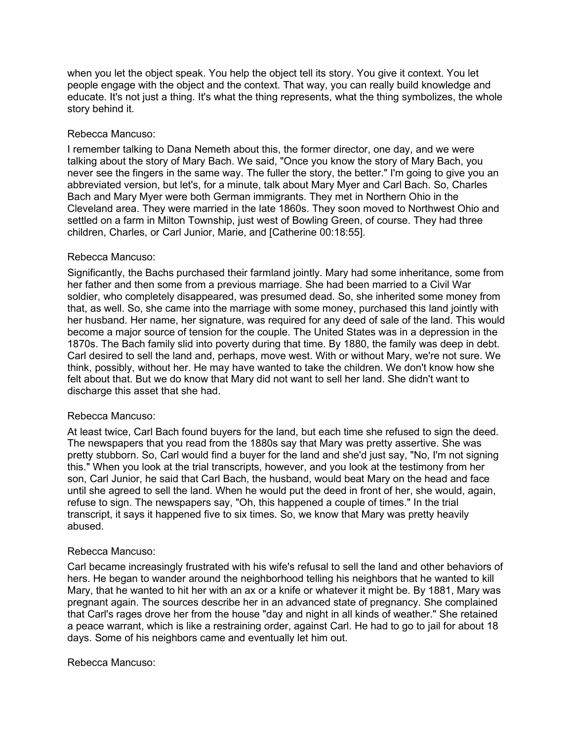when you let the object speak. You help the object tell its story. You give it context. You let people engage with the object and the context. That way, you can really build knowledge and educate. It's not just a thing. It's what the thing represents, what the thing symbolizes, the whole story behind it.

## Rebecca Mancuso:

I remember talking to Dana Nemeth about this, the former director, one day, and we were talking about the story of Mary Bach. We said, "Once you know the story of Mary Bach, you never see the fingers in the same way. The fuller the story, the better." I'm going to give you an abbreviated version, but let's, for a minute, talk about Mary Myer and Carl Bach. So, Charles Bach and Mary Myer were both German immigrants. They met in Northern Ohio in the Cleveland area. They were married in the late 1860s. They soon moved to Northwest Ohio and settled on a farm in Milton Township, just west of Bowling Green, of course. They had three children, Charles, or Carl Junior, Marie, and [Catherine 00:18:55].

## Rebecca Mancuso:

Significantly, the Bachs purchased their farmland jointly. Mary had some inheritance, some from her father and then some from a previous marriage. She had been married to a Civil War soldier, who completely disappeared, was presumed dead. So, she inherited some money from that, as well. So, she came into the marriage with some money, purchased this land jointly with her husband. Her name, her signature, was required for any deed of sale of the land. This would become a major source of tension for the couple. The United States was in a depression in the 1870s. The Bach family slid into poverty during that time. By 1880, the family was deep in debt. Carl desired to sell the land and, perhaps, move west. With or without Mary, we're not sure. We think, possibly, without her. He may have wanted to take the children. We don't know how she felt about that. But we do know that Mary did not want to sell her land. She didn't want to discharge this asset that she had.

### Rebecca Mancuso:

At least twice, Carl Bach found buyers for the land, but each time she refused to sign the deed. The newspapers that you read from the 1880s say that Mary was pretty assertive. She was pretty stubborn. So, Carl would find a buyer for the land and she'd just say, "No, I'm not signing this." When you look at the trial transcripts, however, and you look at the testimony from her son, Carl Junior, he said that Carl Bach, the husband, would beat Mary on the head and face until she agreed to sell the land. When he would put the deed in front of her, she would, again, refuse to sign. The newspapers say, "Oh, this happened a couple of times." In the trial transcript, it says it happened five to six times. So, we know that Mary was pretty heavily abused.

### Rebecca Mancuso:

Carl became increasingly frustrated with his wife's refusal to sell the land and other behaviors of hers. He began to wander around the neighborhood telling his neighbors that he wanted to kill Mary, that he wanted to hit her with an ax or a knife or whatever it might be. By 1881, Mary was pregnant again. The sources describe her in an advanced state of pregnancy. She complained that Carl's rages drove her from the house "day and night in all kinds of weather." She retained a peace warrant, which is like a restraining order, against Carl. He had to go to jail for about 18 days. Some of his neighbors came and eventually let him out.

### Rebecca Mancuso: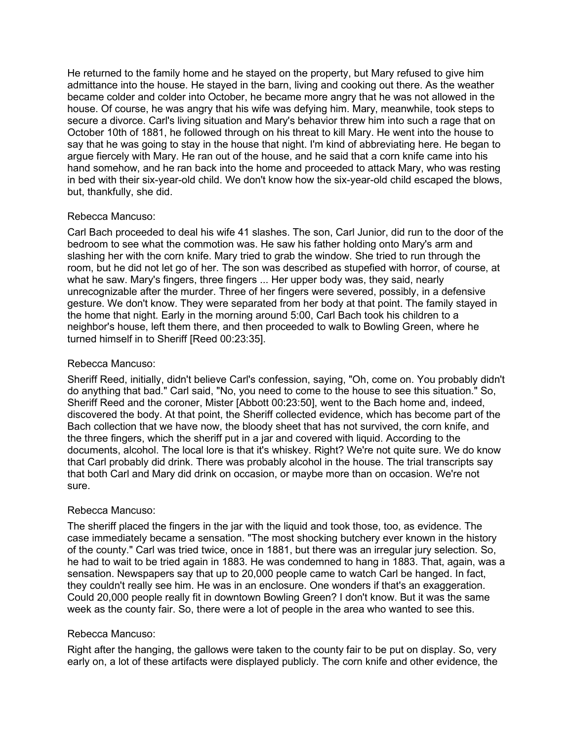He returned to the family home and he stayed on the property, but Mary refused to give him admittance into the house. He stayed in the barn, living and cooking out there. As the weather became colder and colder into October, he became more angry that he was not allowed in the house. Of course, he was angry that his wife was defying him. Mary, meanwhile, took steps to secure a divorce. Carl's living situation and Mary's behavior threw him into such a rage that on October 10th of 1881, he followed through on his threat to kill Mary. He went into the house to say that he was going to stay in the house that night. I'm kind of abbreviating here. He began to argue fiercely with Mary. He ran out of the house, and he said that a corn knife came into his hand somehow, and he ran back into the home and proceeded to attack Mary, who was resting in bed with their six-year-old child. We don't know how the six-year-old child escaped the blows, but, thankfully, she did.

### Rebecca Mancuso:

Carl Bach proceeded to deal his wife 41 slashes. The son, Carl Junior, did run to the door of the bedroom to see what the commotion was. He saw his father holding onto Mary's arm and slashing her with the corn knife. Mary tried to grab the window. She tried to run through the room, but he did not let go of her. The son was described as stupefied with horror, of course, at what he saw. Mary's fingers, three fingers ... Her upper body was, they said, nearly unrecognizable after the murder. Three of her fingers were severed, possibly, in a defensive gesture. We don't know. They were separated from her body at that point. The family stayed in the home that night. Early in the morning around 5:00, Carl Bach took his children to a neighbor's house, left them there, and then proceeded to walk to Bowling Green, where he turned himself in to Sheriff [Reed 00:23:35].

# Rebecca Mancuso:

Sheriff Reed, initially, didn't believe Carl's confession, saying, "Oh, come on. You probably didn't do anything that bad." Carl said, "No, you need to come to the house to see this situation." So, Sheriff Reed and the coroner, Mister [Abbott 00:23:50], went to the Bach home and, indeed, discovered the body. At that point, the Sheriff collected evidence, which has become part of the Bach collection that we have now, the bloody sheet that has not survived, the corn knife, and the three fingers, which the sheriff put in a jar and covered with liquid. According to the documents, alcohol. The local lore is that it's whiskey. Right? We're not quite sure. We do know that Carl probably did drink. There was probably alcohol in the house. The trial transcripts say that both Carl and Mary did drink on occasion, or maybe more than on occasion. We're not sure.

### Rebecca Mancuso:

The sheriff placed the fingers in the jar with the liquid and took those, too, as evidence. The case immediately became a sensation. "The most shocking butchery ever known in the history of the county." Carl was tried twice, once in 1881, but there was an irregular jury selection. So, he had to wait to be tried again in 1883. He was condemned to hang in 1883. That, again, was a sensation. Newspapers say that up to 20,000 people came to watch Carl be hanged. In fact, they couldn't really see him. He was in an enclosure. One wonders if that's an exaggeration. Could 20,000 people really fit in downtown Bowling Green? I don't know. But it was the same week as the county fair. So, there were a lot of people in the area who wanted to see this.

### Rebecca Mancuso:

Right after the hanging, the gallows were taken to the county fair to be put on display. So, very early on, a lot of these artifacts were displayed publicly. The corn knife and other evidence, the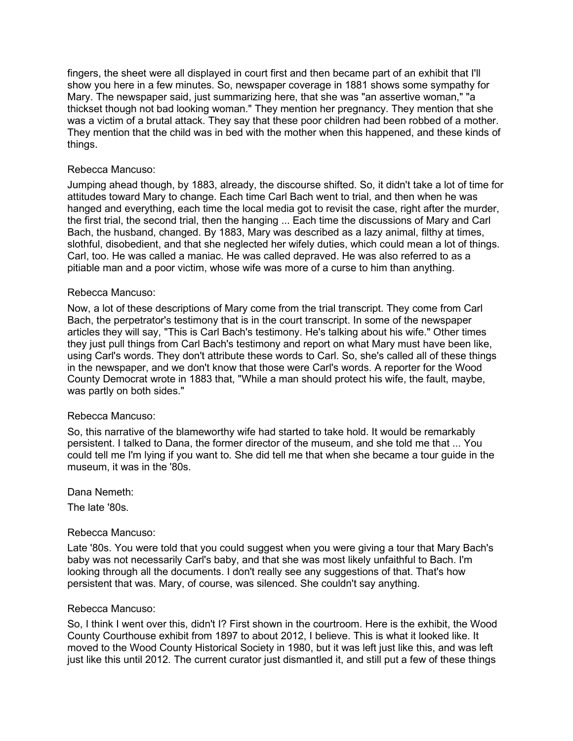fingers, the sheet were all displayed in court first and then became part of an exhibit that I'll show you here in a few minutes. So, newspaper coverage in 1881 shows some sympathy for Mary. The newspaper said, just summarizing here, that she was "an assertive woman," "a thickset though not bad looking woman." They mention her pregnancy. They mention that she was a victim of a brutal attack. They say that these poor children had been robbed of a mother. They mention that the child was in bed with the mother when this happened, and these kinds of things.

### Rebecca Mancuso:

Jumping ahead though, by 1883, already, the discourse shifted. So, it didn't take a lot of time for attitudes toward Mary to change. Each time Carl Bach went to trial, and then when he was hanged and everything, each time the local media got to revisit the case, right after the murder, the first trial, the second trial, then the hanging ... Each time the discussions of Mary and Carl Bach, the husband, changed. By 1883, Mary was described as a lazy animal, filthy at times, slothful, disobedient, and that she neglected her wifely duties, which could mean a lot of things. Carl, too. He was called a maniac. He was called depraved. He was also referred to as a pitiable man and a poor victim, whose wife was more of a curse to him than anything.

## Rebecca Mancuso:

Now, a lot of these descriptions of Mary come from the trial transcript. They come from Carl Bach, the perpetrator's testimony that is in the court transcript. In some of the newspaper articles they will say, "This is Carl Bach's testimony. He's talking about his wife." Other times they just pull things from Carl Bach's testimony and report on what Mary must have been like, using Carl's words. They don't attribute these words to Carl. So, she's called all of these things in the newspaper, and we don't know that those were Carl's words. A reporter for the Wood County Democrat wrote in 1883 that, "While a man should protect his wife, the fault, maybe, was partly on both sides."

### Rebecca Mancuso:

So, this narrative of the blameworthy wife had started to take hold. It would be remarkably persistent. I talked to Dana, the former director of the museum, and she told me that ... You could tell me I'm lying if you want to. She did tell me that when she became a tour guide in the museum, it was in the '80s.

Dana Nemeth:

The late '80s.

### Rebecca Mancuso:

Late '80s. You were told that you could suggest when you were giving a tour that Mary Bach's baby was not necessarily Carl's baby, and that she was most likely unfaithful to Bach. I'm looking through all the documents. I don't really see any suggestions of that. That's how persistent that was. Mary, of course, was silenced. She couldn't say anything.

### Rebecca Mancuso:

So, I think I went over this, didn't I? First shown in the courtroom. Here is the exhibit, the Wood County Courthouse exhibit from 1897 to about 2012, I believe. This is what it looked like. It moved to the Wood County Historical Society in 1980, but it was left just like this, and was left just like this until 2012. The current curator just dismantled it, and still put a few of these things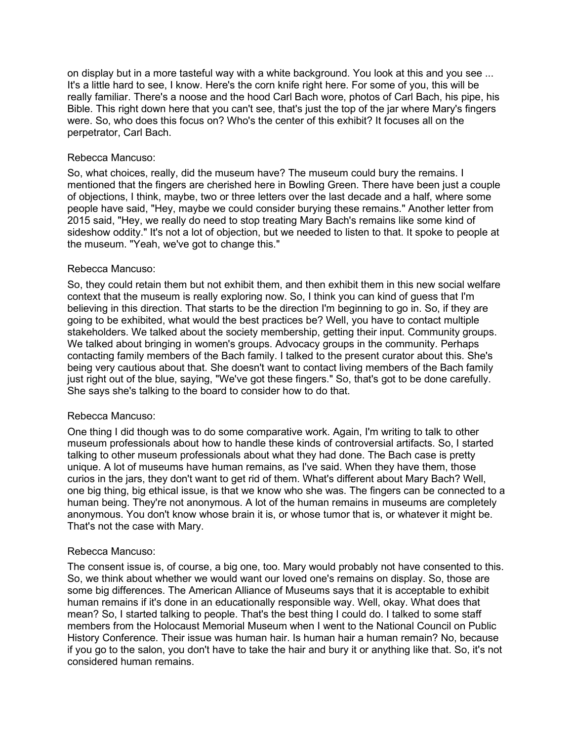on display but in a more tasteful way with a white background. You look at this and you see ... It's a little hard to see, I know. Here's the corn knife right here. For some of you, this will be really familiar. There's a noose and the hood Carl Bach wore, photos of Carl Bach, his pipe, his Bible. This right down here that you can't see, that's just the top of the jar where Mary's fingers were. So, who does this focus on? Who's the center of this exhibit? It focuses all on the perpetrator, Carl Bach.

### Rebecca Mancuso:

So, what choices, really, did the museum have? The museum could bury the remains. I mentioned that the fingers are cherished here in Bowling Green. There have been just a couple of objections, I think, maybe, two or three letters over the last decade and a half, where some people have said, "Hey, maybe we could consider burying these remains." Another letter from 2015 said, "Hey, we really do need to stop treating Mary Bach's remains like some kind of sideshow oddity." It's not a lot of objection, but we needed to listen to that. It spoke to people at the museum. "Yeah, we've got to change this."

### Rebecca Mancuso:

So, they could retain them but not exhibit them, and then exhibit them in this new social welfare context that the museum is really exploring now. So, I think you can kind of guess that I'm believing in this direction. That starts to be the direction I'm beginning to go in. So, if they are going to be exhibited, what would the best practices be? Well, you have to contact multiple stakeholders. We talked about the society membership, getting their input. Community groups. We talked about bringing in women's groups. Advocacy groups in the community. Perhaps contacting family members of the Bach family. I talked to the present curator about this. She's being very cautious about that. She doesn't want to contact living members of the Bach family just right out of the blue, saying, "We've got these fingers." So, that's got to be done carefully. She says she's talking to the board to consider how to do that.

### Rebecca Mancuso:

One thing I did though was to do some comparative work. Again, I'm writing to talk to other museum professionals about how to handle these kinds of controversial artifacts. So, I started talking to other museum professionals about what they had done. The Bach case is pretty unique. A lot of museums have human remains, as I've said. When they have them, those curios in the jars, they don't want to get rid of them. What's different about Mary Bach? Well, one big thing, big ethical issue, is that we know who she was. The fingers can be connected to a human being. They're not anonymous. A lot of the human remains in museums are completely anonymous. You don't know whose brain it is, or whose tumor that is, or whatever it might be. That's not the case with Mary.

### Rebecca Mancuso:

The consent issue is, of course, a big one, too. Mary would probably not have consented to this. So, we think about whether we would want our loved one's remains on display. So, those are some big differences. The American Alliance of Museums says that it is acceptable to exhibit human remains if it's done in an educationally responsible way. Well, okay. What does that mean? So, I started talking to people. That's the best thing I could do. I talked to some staff members from the Holocaust Memorial Museum when I went to the National Council on Public History Conference. Their issue was human hair. Is human hair a human remain? No, because if you go to the salon, you don't have to take the hair and bury it or anything like that. So, it's not considered human remains.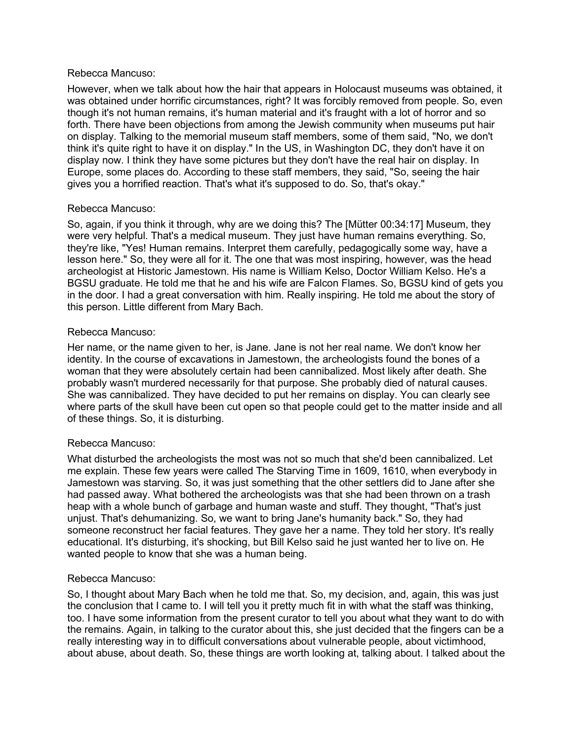#### Rebecca Mancuso:

However, when we talk about how the hair that appears in Holocaust museums was obtained, it was obtained under horrific circumstances, right? It was forcibly removed from people. So, even though it's not human remains, it's human material and it's fraught with a lot of horror and so forth. There have been objections from among the Jewish community when museums put hair on display. Talking to the memorial museum staff members, some of them said, "No, we don't think it's quite right to have it on display." In the US, in Washington DC, they don't have it on display now. I think they have some pictures but they don't have the real hair on display. In Europe, some places do. According to these staff members, they said, "So, seeing the hair gives you a horrified reaction. That's what it's supposed to do. So, that's okay."

### Rebecca Mancuso:

So, again, if you think it through, why are we doing this? The [Mütter 00:34:17] Museum, they were very helpful. That's a medical museum. They just have human remains everything. So, they're like, "Yes! Human remains. Interpret them carefully, pedagogically some way, have a lesson here." So, they were all for it. The one that was most inspiring, however, was the head archeologist at Historic Jamestown. His name is William Kelso, Doctor William Kelso. He's a BGSU graduate. He told me that he and his wife are Falcon Flames. So, BGSU kind of gets you in the door. I had a great conversation with him. Really inspiring. He told me about the story of this person. Little different from Mary Bach.

### Rebecca Mancuso:

Her name, or the name given to her, is Jane. Jane is not her real name. We don't know her identity. In the course of excavations in Jamestown, the archeologists found the bones of a woman that they were absolutely certain had been cannibalized. Most likely after death. She probably wasn't murdered necessarily for that purpose. She probably died of natural causes. She was cannibalized. They have decided to put her remains on display. You can clearly see where parts of the skull have been cut open so that people could get to the matter inside and all of these things. So, it is disturbing.

### Rebecca Mancuso:

What disturbed the archeologists the most was not so much that she'd been cannibalized. Let me explain. These few years were called The Starving Time in 1609, 1610, when everybody in Jamestown was starving. So, it was just something that the other settlers did to Jane after she had passed away. What bothered the archeologists was that she had been thrown on a trash heap with a whole bunch of garbage and human waste and stuff. They thought, "That's just unjust. That's dehumanizing. So, we want to bring Jane's humanity back." So, they had someone reconstruct her facial features. They gave her a name. They told her story. It's really educational. It's disturbing, it's shocking, but Bill Kelso said he just wanted her to live on. He wanted people to know that she was a human being.

### Rebecca Mancuso:

So, I thought about Mary Bach when he told me that. So, my decision, and, again, this was just the conclusion that I came to. I will tell you it pretty much fit in with what the staff was thinking, too. I have some information from the present curator to tell you about what they want to do with the remains. Again, in talking to the curator about this, she just decided that the fingers can be a really interesting way in to difficult conversations about vulnerable people, about victimhood, about abuse, about death. So, these things are worth looking at, talking about. I talked about the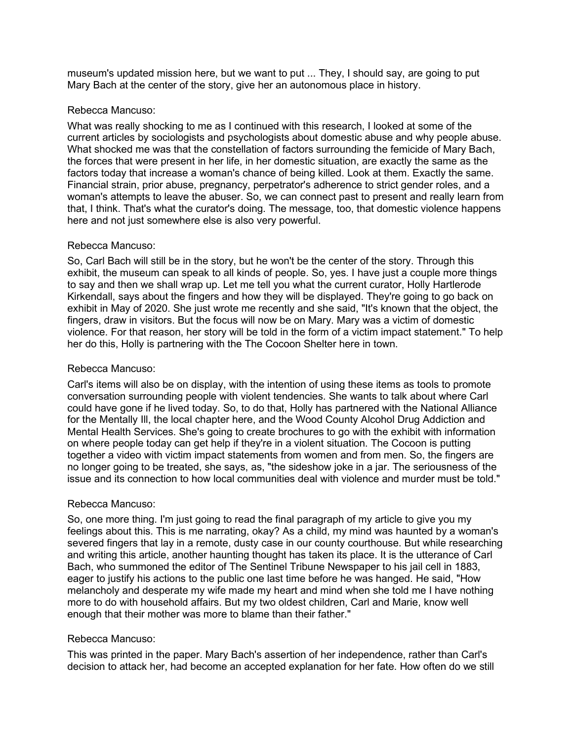museum's updated mission here, but we want to put ... They, I should say, are going to put Mary Bach at the center of the story, give her an autonomous place in history.

## Rebecca Mancuso:

What was really shocking to me as I continued with this research, I looked at some of the current articles by sociologists and psychologists about domestic abuse and why people abuse. What shocked me was that the constellation of factors surrounding the femicide of Mary Bach, the forces that were present in her life, in her domestic situation, are exactly the same as the factors today that increase a woman's chance of being killed. Look at them. Exactly the same. Financial strain, prior abuse, pregnancy, perpetrator's adherence to strict gender roles, and a woman's attempts to leave the abuser. So, we can connect past to present and really learn from that, I think. That's what the curator's doing. The message, too, that domestic violence happens here and not just somewhere else is also very powerful.

## Rebecca Mancuso:

So, Carl Bach will still be in the story, but he won't be the center of the story. Through this exhibit, the museum can speak to all kinds of people. So, yes. I have just a couple more things to say and then we shall wrap up. Let me tell you what the current curator, Holly Hartlerode Kirkendall, says about the fingers and how they will be displayed. They're going to go back on exhibit in May of 2020. She just wrote me recently and she said, "It's known that the object, the fingers, draw in visitors. But the focus will now be on Mary. Mary was a victim of domestic violence. For that reason, her story will be told in the form of a victim impact statement." To help her do this, Holly is partnering with the The Cocoon Shelter here in town.

## Rebecca Mancuso:

Carl's items will also be on display, with the intention of using these items as tools to promote conversation surrounding people with violent tendencies. She wants to talk about where Carl could have gone if he lived today. So, to do that, Holly has partnered with the National Alliance for the Mentally Ill, the local chapter here, and the Wood County Alcohol Drug Addiction and Mental Health Services. She's going to create brochures to go with the exhibit with information on where people today can get help if they're in a violent situation. The Cocoon is putting together a video with victim impact statements from women and from men. So, the fingers are no longer going to be treated, she says, as, "the sideshow joke in a jar. The seriousness of the issue and its connection to how local communities deal with violence and murder must be told."

### Rebecca Mancuso:

So, one more thing. I'm just going to read the final paragraph of my article to give you my feelings about this. This is me narrating, okay? As a child, my mind was haunted by a woman's severed fingers that lay in a remote, dusty case in our county courthouse. But while researching and writing this article, another haunting thought has taken its place. It is the utterance of Carl Bach, who summoned the editor of The Sentinel Tribune Newspaper to his jail cell in 1883, eager to justify his actions to the public one last time before he was hanged. He said, "How melancholy and desperate my wife made my heart and mind when she told me I have nothing more to do with household affairs. But my two oldest children, Carl and Marie, know well enough that their mother was more to blame than their father."

# Rebecca Mancuso:

This was printed in the paper. Mary Bach's assertion of her independence, rather than Carl's decision to attack her, had become an accepted explanation for her fate. How often do we still